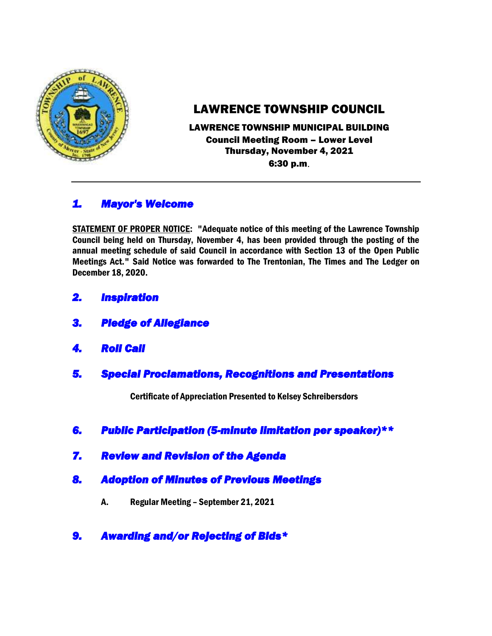

# LAWRENCE TOWNSHIP COUNCIL

LAWRENCE TOWNSHIP MUNICIPAL BUILDING Council Meeting Room – Lower Level Thursday, November 4, 2021 6:30 p.m.

## *1. Mayor's Welcome*

STATEMENT OF PROPER NOTICE: "Adequate notice of this meeting of the Lawrence Township Council being held on Thursday, November 4, has been provided through the posting of the annual meeting schedule of said Council in accordance with Section 13 of the Open Public Meetings Act." Said Notice was forwarded to The Trentonian, The Times and The Ledger on December 18, 2020.

- *2. Inspiration*
- *3. Pledge of Allegiance*
- *4. Roll Call*
- *5. Special Proclamations, Recognitions and Presentations*

Certificate of Appreciation Presented to Kelsey Schreibersdors

- *6. Public Participation (5-minute limitation per speaker)\*\**
- *7. Review and Revision of the Agenda*
- *8. Adoption of Minutes of Previous Meetings* 
	- A. Regular Meeting September 21, 2021
- *9. Awarding and/or Rejecting of Bids\**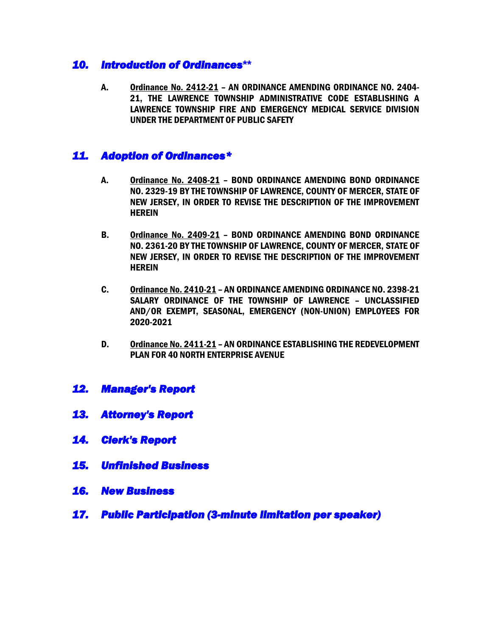#### *10. Introduction of Ordinances***\*\***

A. Ordinance No. 2412-21 – AN ORDINANCE AMENDING ORDINANCE NO. 2404- 21, THE LAWRENCE TOWNSHIP ADMINISTRATIVE CODE ESTABLISHING A LAWRENCE TOWNSHIP FIRE AND EMERGENCY MEDICAL SERVICE DIVISION UNDER THE DEPARTMENT OF PUBLIC SAFETY

### *11. Adoption of Ordinances\**

- A. Ordinance No. 2408-21 BOND ORDINANCE AMENDING BOND ORDINANCE NO. 2329-19 BY THE TOWNSHIP OF LAWRENCE, COUNTY OF MERCER, STATE OF NEW JERSEY, IN ORDER TO REVISE THE DESCRIPTION OF THE IMPROVEMENT **HEREIN**
- B. Ordinance No. 2409-21 BOND ORDINANCE AMENDING BOND ORDINANCE NO. 2361-20 BY THE TOWNSHIP OF LAWRENCE, COUNTY OF MERCER, STATE OF NEW JERSEY, IN ORDER TO REVISE THE DESCRIPTION OF THE IMPROVEMENT **HEREIN**
- C. Ordinance No. 2410-21 AN ORDINANCE AMENDING ORDINANCE NO. 2398-21 SALARY ORDINANCE OF THE TOWNSHIP OF LAWRENCE – UNCLASSIFIED AND/OR EXEMPT, SEASONAL, EMERGENCY (NON-UNION) EMPLOYEES FOR 2020-2021
- D. Ordinance No. 2411-21 AN ORDINANCE ESTABLISHING THE REDEVELOPMENT PLAN FOR 40 NORTH ENTERPRISE AVENUE
- *12. Manager's Report*
- *13. Attorney's Report*
- *14. Clerk's Report*
- *15. Unfinished Business*
- *16. New Business*
- *17. Public Participation (3-minute limitation per speaker)*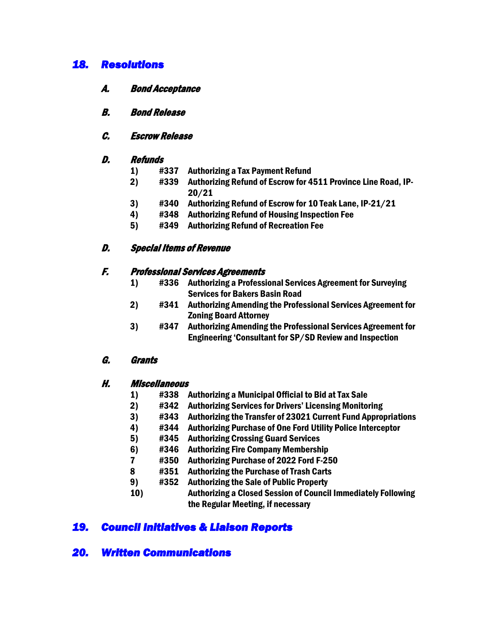### *18. Resolutions*

- A. Bond Acceptance
- B. Bond Release

#### C. Escrow Release

#### D. Refunds

- 1) #337 Authorizing a Tax Payment Refund
- 2) #339 Authorizing Refund of Escrow for 4511 Province Line Road, IP-20/21
- 3) #340 Authorizing Refund of Escrow for 10 Teak Lane, IP-21/21
- 4) #348 Authorizing Refund of Housing Inspection Fee
- 5) #349 Authorizing Refund of Recreation Fee

#### D. Special Items of Revenue

#### F. Professional Services Agreements

- 1) #336 Authorizing a Professional Services Agreement for Surveying Services for Bakers Basin Road
- 2) #341 Authorizing Amending the Professional Services Agreement for Zoning Board Attorney
- 3) #347 Authorizing Amending the Professional Services Agreement for Engineering 'Consultant for SP/SD Review and Inspection

#### G. Grants

#### H. Miscellaneous

- 1) #338 Authorizing a Municipal Official to Bid at Tax Sale
- 2) #342 Authorizing Services for Drivers' Licensing Monitoring
- 3) #343 Authorizing the Transfer of 23021 Current Fund Appropriations
- 4) #344 Authorizing Purchase of One Ford Utility Police Interceptor
- 5) #345 Authorizing Crossing Guard Services
- 6) #346 Authorizing Fire Company Membership
- 7 #350 Authorizing Purchase of 2022 Ford F-250
- 8 #351 Authorizing the Purchase of Trash Carts
- 9) #352 Authorizing the Sale of Public Property
- 10) Authorizing a Closed Session of Council Immediately Following the Regular Meeting, if necessary

## *19. Council Initiatives & Liaison Reports*

### *20. Written Communications*